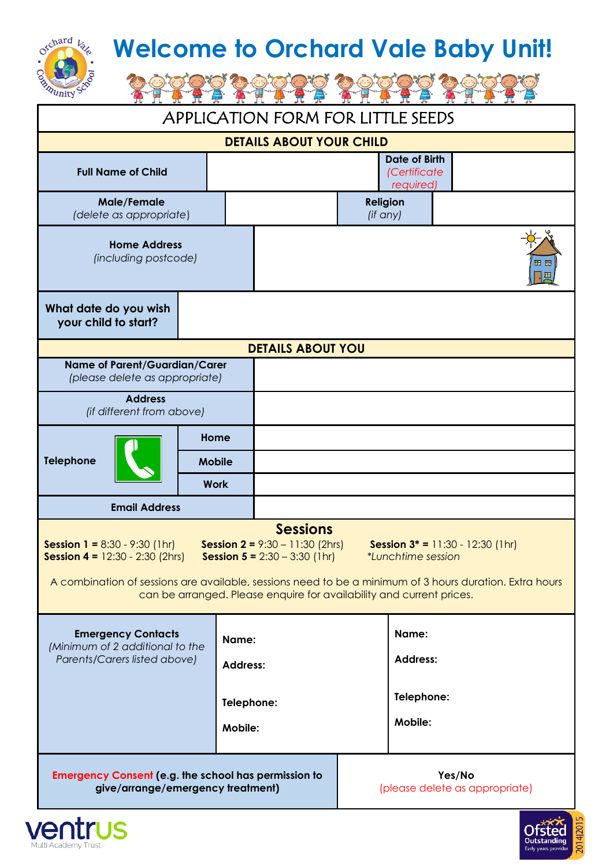## **Welcome to Orchard Vale Baby Unit!**

| 4nity                                                                                                                                                                                                                                                                                                                                                                                                                                 |                      |            |                                                   |                             |                          |  |  |  |
|---------------------------------------------------------------------------------------------------------------------------------------------------------------------------------------------------------------------------------------------------------------------------------------------------------------------------------------------------------------------------------------------------------------------------------------|----------------------|------------|---------------------------------------------------|-----------------------------|--------------------------|--|--|--|
| <b>APPLICATION FORM FOR LITTLE SEEDS</b>                                                                                                                                                                                                                                                                                                                                                                                              |                      |            |                                                   |                             |                          |  |  |  |
| <b>DETAILS ABOUT YOUR CHILD</b>                                                                                                                                                                                                                                                                                                                                                                                                       |                      |            |                                                   |                             |                          |  |  |  |
| <b>Full Name of Child</b>                                                                                                                                                                                                                                                                                                                                                                                                             |                      |            | <b>Date of Birth</b><br>(Certificate<br>required) |                             |                          |  |  |  |
| <b>Male/Female</b><br>(delete as appropriate)                                                                                                                                                                                                                                                                                                                                                                                         |                      |            |                                                   | <b>Religion</b><br>(if any) |                          |  |  |  |
| <b>Home Address</b><br>(including postcode)                                                                                                                                                                                                                                                                                                                                                                                           |                      |            |                                                   |                             | 田田<br>Æ                  |  |  |  |
| What date do you wish<br>your child to start?                                                                                                                                                                                                                                                                                                                                                                                         |                      |            |                                                   |                             |                          |  |  |  |
| <b>DETAILS ABOUT YOU</b>                                                                                                                                                                                                                                                                                                                                                                                                              |                      |            |                                                   |                             |                          |  |  |  |
| Name of Parent/Guardian/Carer<br>(please delete as appropriate)                                                                                                                                                                                                                                                                                                                                                                       |                      |            |                                                   |                             |                          |  |  |  |
| <b>Address</b><br>(if different from above)                                                                                                                                                                                                                                                                                                                                                                                           |                      |            |                                                   |                             |                          |  |  |  |
| <b>Telephone</b>                                                                                                                                                                                                                                                                                                                                                                                                                      | Home                 |            |                                                   |                             |                          |  |  |  |
|                                                                                                                                                                                                                                                                                                                                                                                                                                       | <b>Mobile</b>        |            |                                                   |                             |                          |  |  |  |
|                                                                                                                                                                                                                                                                                                                                                                                                                                       | <b>Work</b>          |            |                                                   |                             |                          |  |  |  |
|                                                                                                                                                                                                                                                                                                                                                                                                                                       | <b>Email Address</b> |            |                                                   |                             |                          |  |  |  |
| <b>Sessions</b><br><b>Session 1 = 8:30 - 9:30 (1hr)</b><br><b>Session 2 = 9:30 - 11:30 (2hrs)</b><br>Session $3^* = 11:30 - 12:30$ (1hr)<br><b>Session 4 = 12:30 - 2:30 (2hrs)</b><br>Session $5 = 2:30 - 3:30$ (1hr)<br><i>*Lunchtime session</i><br>A combination of sessions are available, sessions need to be a minimum of 3 hours duration. Extra hours<br>can be arranged. Please enquire for availability and current prices. |                      |            |                                                   |                             |                          |  |  |  |
| <b>Emergency Contacts</b><br>(Minimum of 2 additional to the<br>Parents/Carers listed above)                                                                                                                                                                                                                                                                                                                                          |                      | Name:      | <b>Address:</b>                                   |                             | Name:<br><b>Address:</b> |  |  |  |
|                                                                                                                                                                                                                                                                                                                                                                                                                                       |                      |            |                                                   |                             | Telephone:               |  |  |  |
|                                                                                                                                                                                                                                                                                                                                                                                                                                       |                      | Telephone: |                                                   |                             | Mobile:                  |  |  |  |
| <b>Mobile:</b>                                                                                                                                                                                                                                                                                                                                                                                                                        |                      |            |                                                   |                             |                          |  |  |  |
| <b>Emergency Consent (e.g. the school has permission to</b><br>Yes/No<br>give/arrange/emergency treatment)<br>(please delete as appropriate)                                                                                                                                                                                                                                                                                          |                      |            |                                                   |                             |                          |  |  |  |



Orchard Vale

**PART** 

lo

Outstanding

014120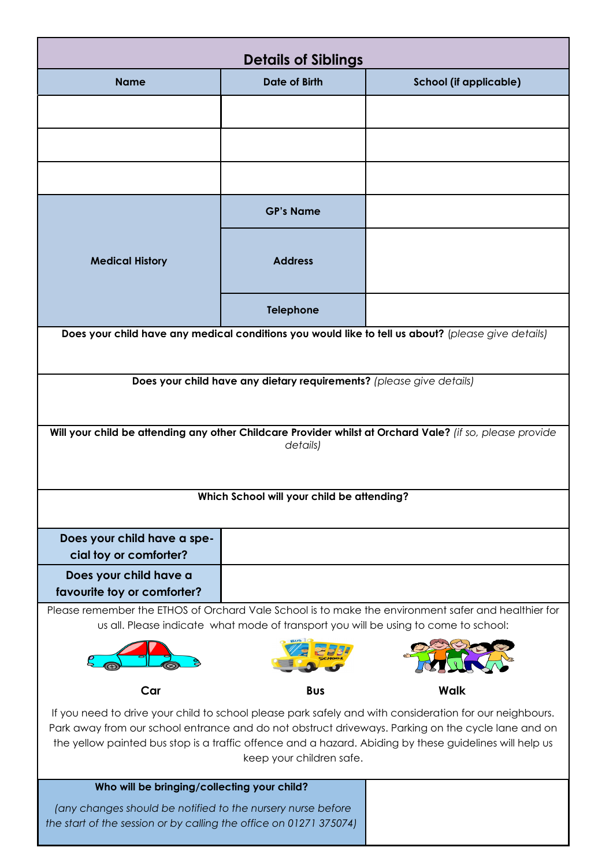| <b>Details of Siblings</b>                                                                                                                                                                                                                                                                                                                           |                      |                               |  |  |  |
|------------------------------------------------------------------------------------------------------------------------------------------------------------------------------------------------------------------------------------------------------------------------------------------------------------------------------------------------------|----------------------|-------------------------------|--|--|--|
| <b>Name</b>                                                                                                                                                                                                                                                                                                                                          | <b>Date of Birth</b> | <b>School (if applicable)</b> |  |  |  |
|                                                                                                                                                                                                                                                                                                                                                      |                      |                               |  |  |  |
|                                                                                                                                                                                                                                                                                                                                                      |                      |                               |  |  |  |
|                                                                                                                                                                                                                                                                                                                                                      |                      |                               |  |  |  |
|                                                                                                                                                                                                                                                                                                                                                      |                      |                               |  |  |  |
|                                                                                                                                                                                                                                                                                                                                                      | <b>GP's Name</b>     |                               |  |  |  |
| <b>Medical History</b>                                                                                                                                                                                                                                                                                                                               | <b>Address</b>       |                               |  |  |  |
|                                                                                                                                                                                                                                                                                                                                                      | <b>Telephone</b>     |                               |  |  |  |
| Does your child have any medical conditions you would like to tell us about? (please give details)                                                                                                                                                                                                                                                   |                      |                               |  |  |  |
|                                                                                                                                                                                                                                                                                                                                                      |                      |                               |  |  |  |
| Does your child have any dietary requirements? (please give details)                                                                                                                                                                                                                                                                                 |                      |                               |  |  |  |
| Will your child be attending any other Childcare Provider whilst at Orchard Vale? (if so, please provide                                                                                                                                                                                                                                             |                      |                               |  |  |  |
|                                                                                                                                                                                                                                                                                                                                                      | details)             |                               |  |  |  |
|                                                                                                                                                                                                                                                                                                                                                      |                      |                               |  |  |  |
| Which School will your child be attending?                                                                                                                                                                                                                                                                                                           |                      |                               |  |  |  |
| Does your child have a spe-                                                                                                                                                                                                                                                                                                                          |                      |                               |  |  |  |
| cial toy or comforter?                                                                                                                                                                                                                                                                                                                               |                      |                               |  |  |  |
| Does your child have a<br>favourite toy or comforter?                                                                                                                                                                                                                                                                                                |                      |                               |  |  |  |
| Please remember the ETHOS of Orchard Vale School is to make the environment safer and healthier for<br>us all. Please indicate what mode of transport you will be using to come to school:                                                                                                                                                           |                      |                               |  |  |  |
|                                                                                                                                                                                                                                                                                                                                                      |                      |                               |  |  |  |
|                                                                                                                                                                                                                                                                                                                                                      |                      |                               |  |  |  |
| Car                                                                                                                                                                                                                                                                                                                                                  | <b>Bus</b>           | <b>Walk</b>                   |  |  |  |
| If you need to drive your child to school please park safely and with consideration for our neighbours.<br>Park away from our school entrance and do not obstruct driveways. Parking on the cycle lane and on<br>the yellow painted bus stop is a traffic offence and a hazard. Abiding by these guidelines will help us<br>keep your children safe. |                      |                               |  |  |  |
| Who will be bringing/collecting your child?                                                                                                                                                                                                                                                                                                          |                      |                               |  |  |  |
| (any changes should be notified to the nursery nurse before<br>the start of the session or by calling the office on 01271 375074)                                                                                                                                                                                                                    |                      |                               |  |  |  |